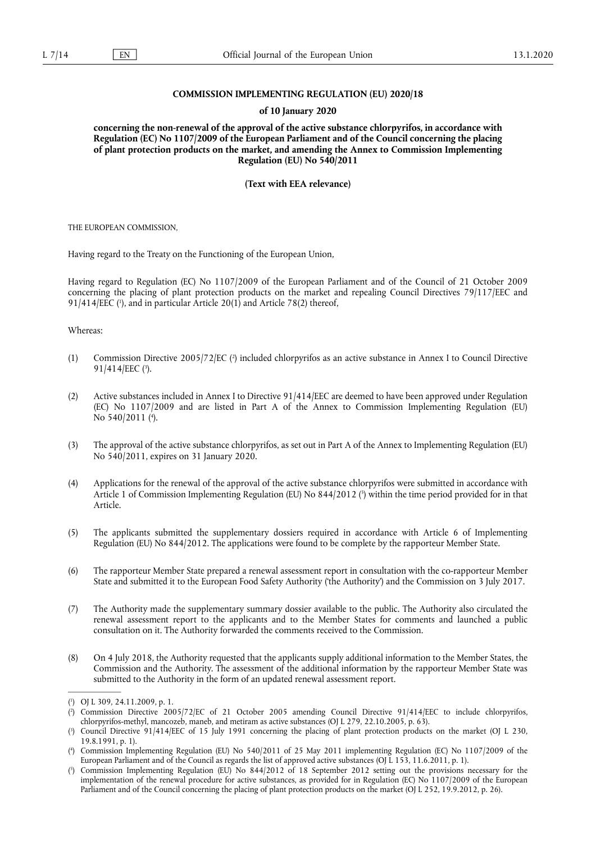# **COMMISSION IMPLEMENTING REGULATION (EU) 2020/18**

#### **of 10 January 2020**

**concerning the non-renewal of the approval of the active substance chlorpyrifos, in accordance with Regulation (EC) No 1107/2009 of the European Parliament and of the Council concerning the placing of plant protection products on the market, and amending the Annex to Commission Implementing Regulation (EU) No 540/2011** 

**(Text with EEA relevance)** 

THE EUROPEAN COMMISSION,

Having regard to the Treaty on the Functioning of the European Union,

Having regard to Regulation (EC) No 1107/2009 of the European Parliament and of the Council of 21 October 2009 concerning the placing of plant protection products on the market and repealing Council Directives 79/117/EEC and  $91/414/EEC$  ( $\degree$ ), and in particular Article 20(1) and Article 78(2) thereof,

Whereas:

- (1) Commission Directive 2005/72/EC ( 2 ) included chlorpyrifos as an active substance in Annex I to Council Directive 91/414/EEC (3).
- (2) Active substances included in Annex I to Directive 91/414/EEC are deemed to have been approved under Regulation (EC) No 1107/2009 and are listed in Part A of the Annex to Commission Implementing Regulation (EU) No 540/2011 (4).
- (3) The approval of the active substance chlorpyrifos, as set out in Part A of the Annex to Implementing Regulation (EU) No 540/2011, expires on 31 January 2020.
- (4) Applications for the renewal of the approval of the active substance chlorpyrifos were submitted in accordance with Article 1 of Commission Implementing Regulation (EU) No 844/2012 ( 5 ) within the time period provided for in that Article.
- (5) The applicants submitted the supplementary dossiers required in accordance with Article 6 of Implementing Regulation (EU) No 844/2012. The applications were found to be complete by the rapporteur Member State.
- (6) The rapporteur Member State prepared a renewal assessment report in consultation with the co-rapporteur Member State and submitted it to the European Food Safety Authority ('the Authority') and the Commission on 3 July 2017.
- (7) The Authority made the supplementary summary dossier available to the public. The Authority also circulated the renewal assessment report to the applicants and to the Member States for comments and launched a public consultation on it. The Authority forwarded the comments received to the Commission.
- (8) On 4 July 2018, the Authority requested that the applicants supply additional information to the Member States, the Commission and the Authority. The assessment of the additional information by the rapporteur Member State was submitted to the Authority in the form of an updated renewal assessment report.

<sup>(</sup> 1 ) OJ L 309, 24.11.2009, p. 1.

<sup>(</sup> 2 ) Commission Directive 2005/72/EC of 21 October 2005 amending Council Directive 91/414/EEC to include chlorpyrifos, chlorpyrifos-methyl, mancozeb, maneb, and metiram as active substances (OJ L 279, 22.10.2005, p. 63).

<sup>(</sup> 3 ) Council Directive 91/414/EEC of 15 July 1991 concerning the placing of plant protection products on the market (OJ L 230, 19.8.1991, p. 1).

<sup>(</sup> 4 ) Commission Implementing Regulation (EU) No 540/2011 of 25 May 2011 implementing Regulation (EC) No 1107/2009 of the European Parliament and of the Council as regards the list of approved active substances (OJ L 153, 11.6.2011, p. 1).

<sup>(</sup> 5 ) Commission Implementing Regulation (EU) No 844/2012 of 18 September 2012 setting out the provisions necessary for the implementation of the renewal procedure for active substances, as provided for in Regulation (EC) No 1107/2009 of the European Parliament and of the Council concerning the placing of plant protection products on the market (OJ L 252, 19.9.2012, p. 26).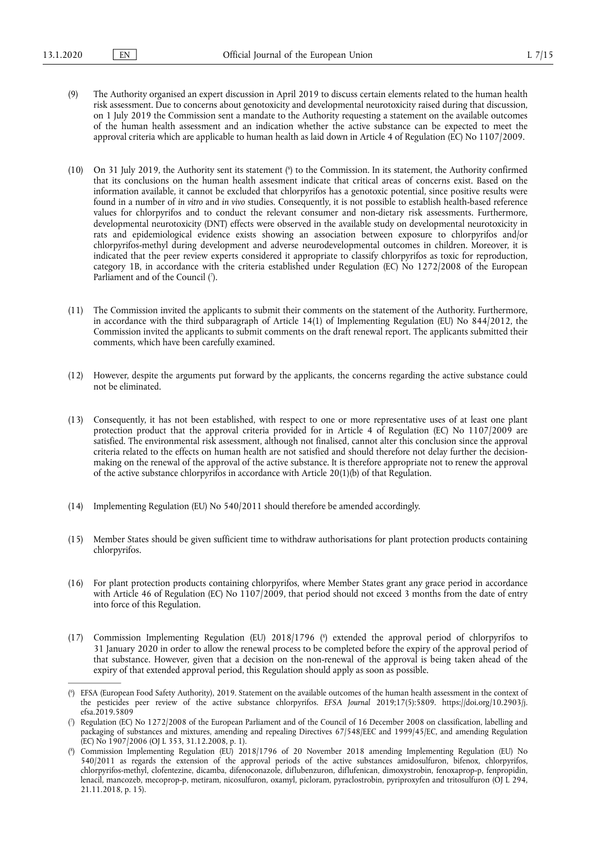- (9) The Authority organised an expert discussion in April 2019 to discuss certain elements related to the human health risk assessment. Due to concerns about genotoxicity and developmental neurotoxicity raised during that discussion, on 1 July 2019 the Commission sent a mandate to the Authority requesting a statement on the available outcomes of the human health assessment and an indication whether the active substance can be expected to meet the approval criteria which are applicable to human health as laid down in Article 4 of Regulation (EC) No 1107/2009.
- (10) On 31 July 2019, the Authority sent its statement ( $\degree$ ) to the Commission. In its statement, the Authority confirmed that its conclusions on the human health assesment indicate that critical areas of concerns exist. Based on the information available, it cannot be excluded that chlorpyrifos has a genotoxic potential, since positive results were found in a number of *in vitro* and *in vivo* studies. Consequently, it is not possible to establish health-based reference values for chlorpyrifos and to conduct the relevant consumer and non-dietary risk assessments. Furthermore, developmental neurotoxicity (DNT) effects were observed in the available study on developmental neurotoxicity in rats and epidemiological evidence exists showing an association between exposure to chlorpyrifos and/or chlorpyrifos-methyl during development and adverse neurodevelopmental outcomes in children. Moreover, it is indicated that the peer review experts considered it appropriate to classify chlorpyrifos as toxic for reproduction, category 1B, in accordance with the criteria established under Regulation (EC) No 1272/2008 of the European Parliament and of the Council (7).
- (11) The Commission invited the applicants to submit their comments on the statement of the Authority. Furthermore, in accordance with the third subparagraph of Article 14(1) of Implementing Regulation (EU) No 844/2012, the Commission invited the applicants to submit comments on the draft renewal report. The applicants submitted their comments, which have been carefully examined.
- (12) However, despite the arguments put forward by the applicants, the concerns regarding the active substance could not be eliminated.
- (13) Consequently, it has not been established, with respect to one or more representative uses of at least one plant protection product that the approval criteria provided for in Article 4 of Regulation (EC) No 1107/2009 are satisfied. The environmental risk assessment, although not finalised, cannot alter this conclusion since the approval criteria related to the effects on human health are not satisfied and should therefore not delay further the decisionmaking on the renewal of the approval of the active substance. It is therefore appropriate not to renew the approval of the active substance chlorpyrifos in accordance with Article  $20(1)(b)$  of that Regulation.
- (14) Implementing Regulation (EU) No 540/2011 should therefore be amended accordingly.
- (15) Member States should be given sufficient time to withdraw authorisations for plant protection products containing chlorpyrifos.
- (16) For plant protection products containing chlorpyrifos, where Member States grant any grace period in accordance with Article 46 of Regulation (EC) No 1107/2009, that period should not exceed 3 months from the date of entry into force of this Regulation.
- (17) Commission Implementing Regulation (EU) 2018/1796 ( 8 ) extended the approval period of chlorpyrifos to 31 January 2020 in order to allow the renewal process to be completed before the expiry of the approval period of that substance. However, given that a decision on the non-renewal of the approval is being taken ahead of the expiry of that extended approval period, this Regulation should apply as soon as possible.

<sup>(</sup> 6 ) EFSA (European Food Safety Authority), 2019. Statement on the available outcomes of the human health assessment in the context of the pesticides peer review of the active substance chlorpyrifos. *EFSA Journal* 2019;17(5):5809. https://doi.org/10.2903/j. efsa.2019.5809

<sup>(</sup> 7 ) Regulation (EC) No 1272/2008 of the European Parliament and of the Council of 16 December 2008 on classification, labelling and packaging of substances and mixtures, amending and repealing Directives 67/548/EEC and 1999/45/EC, and amending Regulation (EC) No 1907/2006 (OJ L 353, 31.12.2008, p. 1).

<sup>(</sup> 8 ) Commission Implementing Regulation (EU) 2018/1796 of 20 November 2018 amending Implementing Regulation (EU) No 540/2011 as regards the extension of the approval periods of the active substances amidosulfuron, bifenox, chlorpyrifos, chlorpyrifos-methyl, clofentezine, dicamba, difenoconazole, diflubenzuron, diflufenican, dimoxystrobin, fenoxaprop-p, fenpropidin, lenacil, mancozeb, mecoprop-p, metiram, nicosulfuron, oxamyl, picloram, pyraclostrobin, pyriproxyfen and tritosulfuron (OJ L 294, 21.11.2018, p. 15).